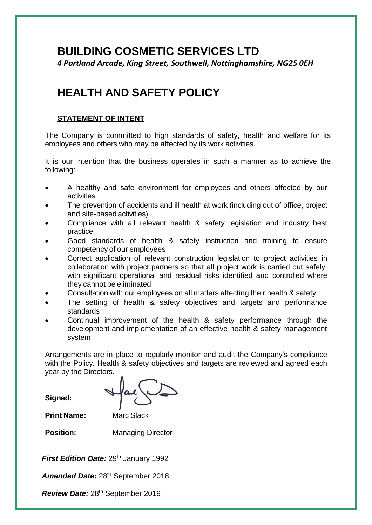# **BUILDING COSMETIC SERVICES LTD**

*4 Portland Arcade, King Street, Southwell, Nottinghamshire, NG25 0EH*

# **HEALTH AND SAFETY POLICY**

### **STATEMENT OF INTENT**

The Company is committed to high standards of safety, health and welfare for its employees and others who may be affected by its work activities.

It is our intention that the business operates in such a manner as to achieve the following:

- A healthy and safe environment for employees and others affected by our activities
- The prevention of accidents and ill health at work (including out of office, project and site-based activities)
- Compliance with all relevant health & safety legislation and industry best practice
- Good standards of health & safety instruction and training to ensure competency of our employees
- Correct application of relevant construction legislation to project activities in collaboration with project partners so that all project work is carried out safely, with significant operational and residual risks identified and controlled where they cannot be eliminated
- Consultation with our employees on all matters affecting their health & safety
- The setting of health & safety objectives and targets and performance standards
- Continual improvement of the health & safety performance through the development and implementation of an effective health & safety management system

Arrangements are in place to regularly monitor and audit the Company's compliance with the Policy. Health & safety objectives and targets are reviewed and agreed each year by the Directors.

**Signed:**

**Print Name:** Marc Slack

**Position:** Managing Director

**First Edition Date:** 29<sup>th</sup> January 1992

Amended Date: 28<sup>th</sup> September 2018

*Review Date:* 28th September 2019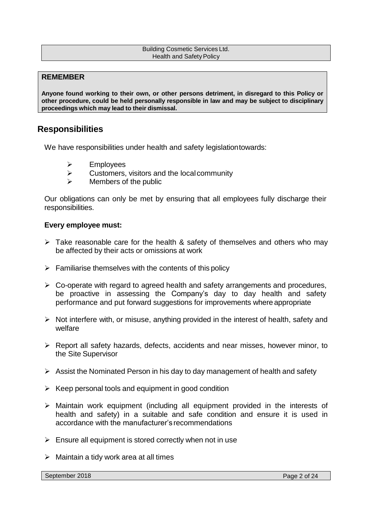#### Building Cosmetic Services Ltd. Health and Safety Policy

#### **REMEMBER**

**Anyone found working to their own, or other persons detriment, in disregard to this Policy or other procedure, could be held personally responsible in law and may be subject to disciplinary proceedings which may lead to their dismissal.**

# **Responsibilities**

We have responsibilities under health and safety legislationtowards:

- ➢ Employees
- $\triangleright$  Customers, visitors and the local community
- $\triangleright$  Members of the public

Our obligations can only be met by ensuring that all employees fully discharge their responsibilities.

#### **Every employee must:**

- $\triangleright$  Take reasonable care for the health & safety of themselves and others who may be affected by their acts or omissions at work
- $\triangleright$  Familiarise themselves with the contents of this policy
- ➢ Co-operate with regard to agreed health and safety arrangements and procedures, be proactive in assessing the Company's day to day health and safety performance and put forward suggestions for improvements where appropriate
- ➢ Not interfere with, or misuse, anything provided in the interest of health, safety and welfare
- ➢ Report all safety hazards, defects, accidents and near misses, however minor, to the Site Supervisor
- $\triangleright$  Assist the Nominated Person in his day to day management of health and safety
- $\triangleright$  Keep personal tools and equipment in good condition
- ➢ Maintain work equipment (including all equipment provided in the interests of health and safety) in a suitable and safe condition and ensure it is used in accordance with the manufacturer's recommendations
- $\triangleright$  Ensure all equipment is stored correctly when not in use
- $\triangleright$  Maintain a tidy work area at all times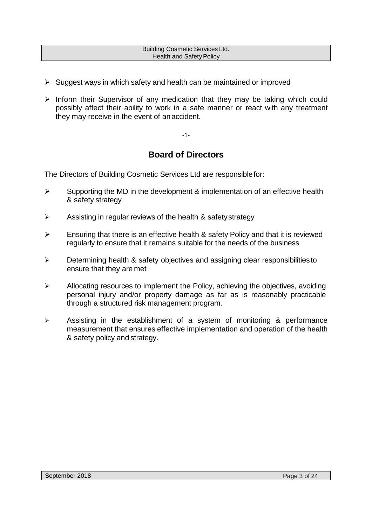#### Building Cosmetic Services Ltd. Health and Safety Policy

- $\triangleright$  Suggest ways in which safety and health can be maintained or improved
- ➢ Inform their Supervisor of any medication that they may be taking which could possibly affect their ability to work in a safe manner or react with any treatment they may receive in the event of anaccident.

-1-

# **Board of Directors**

The Directors of Building Cosmetic Services Ltd are responsiblefor:

- $\triangleright$  Supporting the MD in the development & implementation of an effective health & safety strategy
- $\triangleright$  Assisting in regular reviews of the health & safety strategy
- $\triangleright$  Ensuring that there is an effective health & safety Policy and that it is reviewed regularly to ensure that it remains suitable for the needs of the business
- ➢ Determining health & safety objectives and assigning clear responsibilitiesto ensure that they are met
- ➢ Allocating resources to implement the Policy, achieving the objectives, avoiding personal injury and/or property damage as far as is reasonably practicable through a structured risk management program.
- ➢ Assisting in the establishment of a system of monitoring & performance measurement that ensures effective implementation and operation of the health & safety policy and strategy.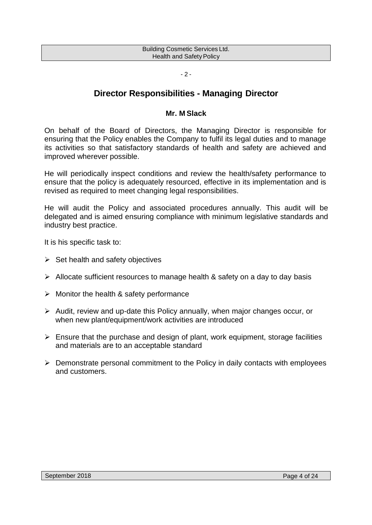| <b>Building Cosmetic Services Ltd.</b> |
|----------------------------------------|
|                                        |
| <b>Health and Safety Policy</b>        |
|                                        |

#### $-2 -$

# **Director Responsibilities - Managing Director**

#### **Mr. M Slack**

On behalf of the Board of Directors, the Managing Director is responsible for ensuring that the Policy enables the Company to fulfil its legal duties and to manage its activities so that satisfactory standards of health and safety are achieved and improved wherever possible.

He will periodically inspect conditions and review the health/safety performance to ensure that the policy is adequately resourced, effective in its implementation and is revised as required to meet changing legal responsibilities.

He will audit the Policy and associated procedures annually. This audit will be delegated and is aimed ensuring compliance with minimum legislative standards and industry best practice.

It is his specific task to:

- $\triangleright$  Set health and safety objectives
- ➢ Allocate sufficient resources to manage health & safety on a day to day basis
- $\triangleright$  Monitor the health & safety performance
- ➢ Audit, review and up-date this Policy annually, when major changes occur, or when new plant/equipment/work activities are introduced
- $\triangleright$  Ensure that the purchase and design of plant, work equipment, storage facilities and materials are to an acceptable standard
- ➢ Demonstrate personal commitment to the Policy in daily contacts with employees and customers.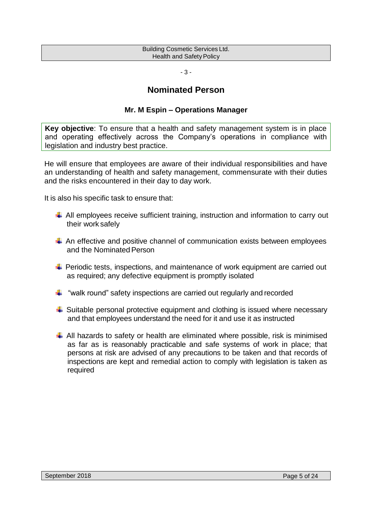| <b>Building Cosmetic Services Ltd.</b> |  |
|----------------------------------------|--|
| Health and Safety Policy               |  |

- 3 -

# **Nominated Person**

#### **Mr. M Espin – Operations Manager**

**Key objective**: To ensure that a health and safety management system is in place and operating effectively across the Company's operations in compliance with legislation and industry best practice.

He will ensure that employees are aware of their individual responsibilities and have an understanding of health and safety management, commensurate with their duties and the risks encountered in their day to day work.

It is also his specific task to ensure that:

- $\overline{\phantom{a} }$  All employees receive sufficient training, instruction and information to carry out their work safely
- $\ddot$  An effective and positive channel of communication exists between employees and the Nominated Person
- $\overline{\phantom{a} \bullet}$  Periodic tests, inspections, and maintenance of work equipment are carried out as required; any defective equipment is promptly isolated
- $\frac{1}{2}$  "walk round" safety inspections are carried out regularly and recorded
- $\ddot{+}$  Suitable personal protective equipment and clothing is issued where necessary and that employees understand the need for it and use it as instructed
- $\downarrow$  All hazards to safety or health are eliminated where possible, risk is minimised as far as is reasonably practicable and safe systems of work in place; that persons at risk are advised of any precautions to be taken and that records of inspections are kept and remedial action to comply with legislation is taken as required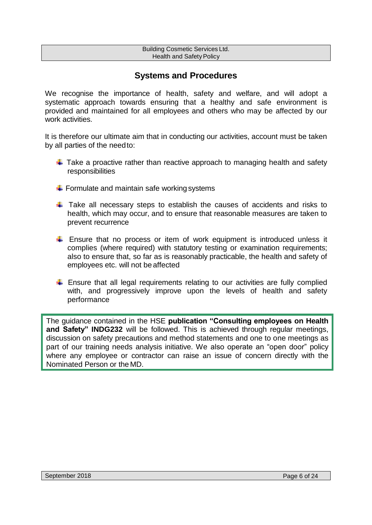#### Building Cosmetic Services Ltd. Health and Safety Policy

# **Systems and Procedures**

We recognise the importance of health, safety and welfare, and will adopt a systematic approach towards ensuring that a healthy and safe environment is provided and maintained for all employees and others who may be affected by our work activities.

It is therefore our ultimate aim that in conducting our activities, account must be taken by all parties of the needto:

- $\ddot{\phantom{1}}$  Take a proactive rather than reactive approach to managing health and safety responsibilities
- $\div$  Formulate and maintain safe working systems
- $\ddot$  Take all necessary steps to establish the causes of accidents and risks to health, which may occur, and to ensure that reasonable measures are taken to prevent recurrence
- **Ensure that no process or item of work equipment is introduced unless it** complies (where required) with statutory testing or examination requirements; also to ensure that, so far as is reasonably practicable, the health and safety of employees etc. will not be affected
- $\ddot$  Ensure that all legal requirements relating to our activities are fully complied with, and progressively improve upon the levels of health and safety performance

The guidance contained in the HSE **publication "Consulting employees on Health and Safety" INDG232** will be followed. This is achieved through regular meetings, discussion on safety precautions and method statements and one to one meetings as part of our training needs analysis initiative. We also operate an "open door" policy where any employee or contractor can raise an issue of concern directly with the Nominated Person or the MD.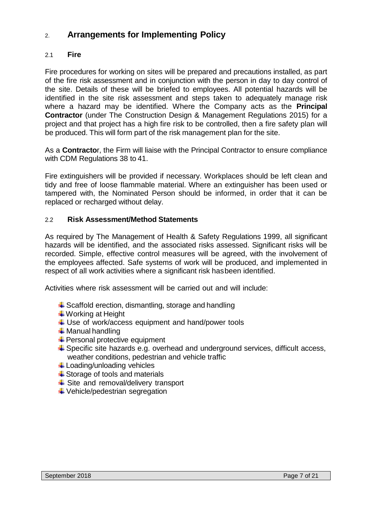# 2. **Arrangements for Implementing Policy**

# 2.1 **Fire**

Fire procedures for working on sites will be prepared and precautions installed, as part of the fire risk assessment and in conjunction with the person in day to day control of the site. Details of these will be briefed to employees. All potential hazards will be identified in the site risk assessment and steps taken to adequately manage risk where a hazard may be identified. Where the Company acts as the **Principal Contractor** (under The Construction Design & Management Regulations 2015) for a project and that project has a high fire risk to be controlled, then a fire safety plan will be produced. This will form part of the risk management plan for the site.

As a **Contracto**r, the Firm will liaise with the Principal Contractor to ensure compliance with CDM Regulations 38 to 41.

Fire extinguishers will be provided if necessary. Workplaces should be left clean and tidy and free of loose flammable material. Where an extinguisher has been used or tampered with, the Nominated Person should be informed, in order that it can be replaced or recharged without delay.

### 2.2 **Risk Assessment/Method Statements**

As required by The Management of Health & Safety Regulations 1999, all significant hazards will be identified, and the associated risks assessed. Significant risks will be recorded. Simple, effective control measures will be agreed, with the involvement of the employees affected. Safe systems of work will be produced, and implemented in respect of all work activities where a significant risk hasbeen identified.

Activities where risk assessment will be carried out and will include:

- $\ddot{+}$  Scaffold erection, dismantling, storage and handling
- **↓Working at Height**
- $\downarrow$  Use of work/access equipment and hand/power tools
- $\ddotplus$  Manual handling
- $\bigstar$  Personal protective equipment
- $\ddot{+}$  Specific site hazards e.g. overhead and underground services, difficult access, weather conditions, pedestrian and vehicle traffic
- **Loading/unloading vehicles**
- $\triangleq$  Storage of tools and materials
- $\triangleq$  Site and removal/delivery transport
- $\downarrow$  Vehicle/pedestrian segregation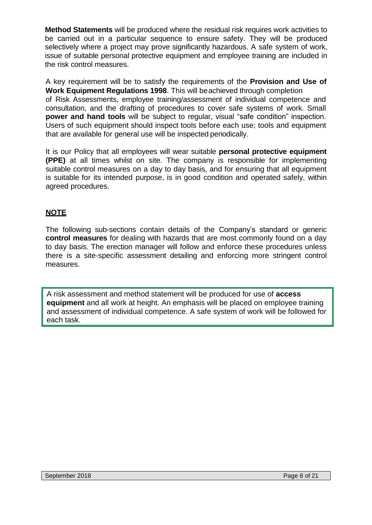**Method Statements** will be produced where the residual risk requires work activities to be carried out in a particular sequence to ensure safety. They will be produced selectively where a project may prove significantly hazardous. A safe system of work, issue of suitable personal protective equipment and employee training are included in the risk control measures.

A key requirement will be to satisfy the requirements of the **Provision and Use of Work Equipment Regulations 1998**. This will beachieved through completion of Risk Assessments, employee training/assessment of individual competence and consultation, and the drafting of procedures to cover safe systems of work. Small **power and hand tools** will be subject to regular, visual "safe condition" inspection. Users of such equipment should inspect tools before each use; tools and equipment that are available for general use will be inspected periodically.

It is our Policy that all employees will wear suitable **personal protective equipment (PPE)** at all times whilst on site. The company is responsible for implementing suitable control measures on a day to day basis, and for ensuring that all equipment is suitable for its intended purpose, is in good condition and operated safely, within agreed procedures.

# **NOTE**

The following sub-sections contain details of the Company's standard or generic **control measures** for dealing with hazards that are most commonly found on a day to day basis. The erection manager will follow and enforce these procedures unless there is a site-specific assessment detailing and enforcing more stringent control measures.

A risk assessment and method statement will be produced for use of **access equipment** and all work at height. An emphasis will be placed on employee training and assessment of individual competence. A safe system of work will be followed for each task.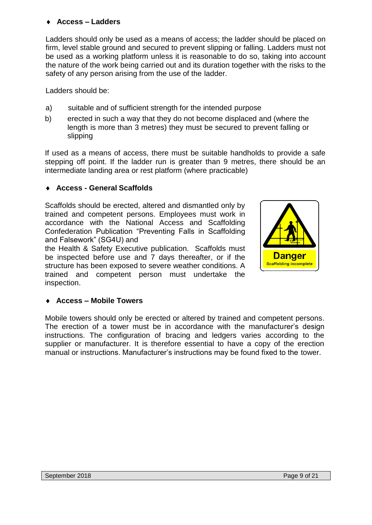# **Access – Ladders**

Ladders should only be used as a means of access; the ladder should be placed on firm, level stable ground and secured to prevent slipping or falling. Ladders must not be used as a working platform unless it is reasonable to do so, taking into account the nature of the work being carried out and its duration together with the risks to the safety of any person arising from the use of the ladder.

Ladders should be:

- a) suitable and of sufficient strength for the intended purpose
- b) erected in such a way that they do not become displaced and (where the length is more than 3 metres) they must be secured to prevent falling or slipping

If used as a means of access, there must be suitable handholds to provide a safe stepping off point. If the ladder run is greater than 9 metres, there should be an intermediate landing area or rest platform (where practicable)

# **Access - General Scaffolds**

Scaffolds should be erected, altered and dismantled only by trained and competent persons. Employees must work in accordance with the National Access and Scaffolding Confederation Publication "Preventing Falls in Scaffolding and Falsework" (SG4U) and

the Health & Safety Executive publication. Scaffolds must be inspected before use and 7 days thereafter, or if the structure has been exposed to severe weather conditions. A trained and competent person must undertake the inspection.



# **Access – Mobile Towers**

Mobile towers should only be erected or altered by trained and competent persons. The erection of a tower must be in accordance with the manufacturer's design instructions. The configuration of bracing and ledgers varies according to the supplier or manufacturer. It is therefore essential to have a copy of the erection manual or instructions. Manufacturer's instructions may be found fixed to the tower.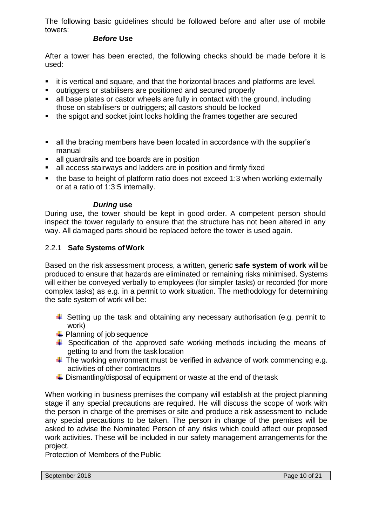The following basic guidelines should be followed before and after use of mobile towers:

#### *Before* **Use**

After a tower has been erected, the following checks should be made before it is used:

- it is vertical and square, and that the horizontal braces and platforms are level.
- outriggers or stabilisers are positioned and secured properly
- all base plates or castor wheels are fully in contact with the ground, including those on stabilisers or outriggers; all castors should be locked
- the spigot and socket joint locks holding the frames together are secured
- all the bracing members have been located in accordance with the supplier's manual
- all guardrails and toe boards are in position
- all access stairways and ladders are in position and firmly fixed
- the base to height of platform ratio does not exceed 1:3 when working externally or at a ratio of 1:3:5 internally.

# *During* **use**

During use, the tower should be kept in good order. A competent person should inspect the tower regularly to ensure that the structure has not been altered in any way. All damaged parts should be replaced before the tower is used again.

# 2.2.1 **Safe Systems ofWork**

Based on the risk assessment process, a written, generic **safe system of work** willbe produced to ensure that hazards are eliminated or remaining risks minimised. Systems will either be conveyed verbally to employees (for simpler tasks) or recorded (for more complex tasks) as e.g. in a permit to work situation. The methodology for determining the safe system of work will be:

- $\ddot{+}$  Setting up the task and obtaining any necessary authorisation (e.g. permit to work)
- $\leftarrow$  Planning of job sequence
- $\ddot$  Specification of the approved safe working methods including the means of getting to and from the task location
- $\ddot$  The working environment must be verified in advance of work commencing e.g. activities of other contractors
- $\ddot{\phantom{1}}$  Dismantling/disposal of equipment or waste at the end of the task

When working in business premises the company will establish at the project planning stage if any special precautions are required. He will discuss the scope of work with the person in charge of the premises or site and produce a risk assessment to include any special precautions to be taken. The person in charge of the premises will be asked to advise the Nominated Person of any risks which could affect our proposed work activities. These will be included in our safety management arrangements for the project.

Protection of Members of the Public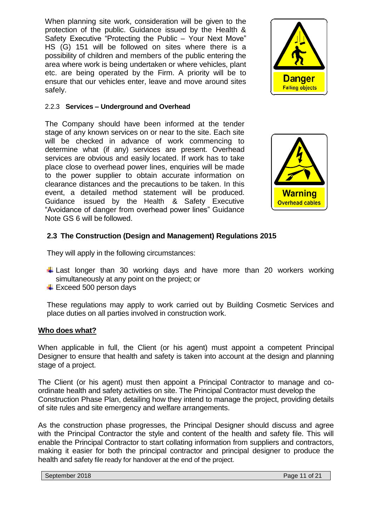When planning site work, consideration will be given to the protection of the public. Guidance issued by the Health & Safety Executive "Protecting the Public – Your Next Move" HS (G) 151 will be followed on sites where there is a possibility of children and members of the public entering the area where work is being undertaken or where vehicles, plant etc. are being operated by the Firm. A priority will be to ensure that our vehicles enter, leave and move around sites safely.

#### 2.2.3 **Services – Underground and Overhead**

The Company should have been informed at the tender stage of any known services on or near to the site. Each site will be checked in advance of work commencing to determine what (if any) services are present. Overhead services are obvious and easily located. If work has to take place close to overhead power lines, enquiries will be made to the power supplier to obtain accurate information on clearance distances and the precautions to be taken. In this event, a detailed method statement will be produced. Guidance issued by the Health & Safety Executive "Avoidance of danger from overhead power lines" Guidance Note GS 6 will be followed.



**Danger Falling objects** 

### **2.3 The Construction (Design and Management) Regulations 2015**

They will apply in the following circumstances:

- $\downarrow$  Last longer than 30 working days and have more than 20 workers working simultaneously at any point on the project; or
- $\ddot$  Exceed 500 person days

These regulations may apply to work carried out by Building Cosmetic Services and place duties on all parties involved in construction work.

#### **Who does what?**

When applicable in full, the Client (or his agent) must appoint a competent Principal Designer to ensure that health and safety is taken into account at the design and planning stage of a project.

The Client (or his agent) must then appoint a Principal Contractor to manage and coordinate health and safety activities on site. The Principal Contractor must develop the Construction Phase Plan, detailing how they intend to manage the project, providing details of site rules and site emergency and welfare arrangements.

As the construction phase progresses, the Principal Designer should discuss and agree with the Principal Contractor the style and content of the health and safety file. This will enable the Principal Contractor to start collating information from suppliers and contractors, making it easier for both the principal contractor and principal designer to produce the health and safety file ready for handover at the end of the project.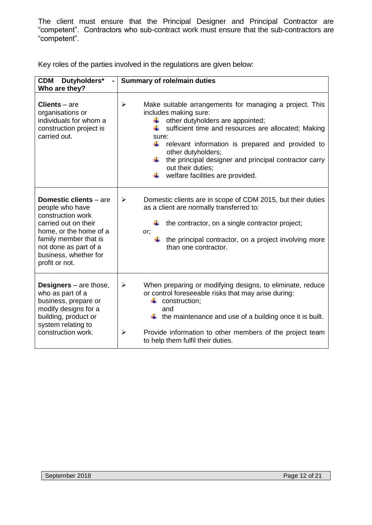The client must ensure that the Principal Designer and Principal Contractor are "competent". Contractors who sub-contract work must ensure that the sub-contractors are "competent".

Key roles of the parties involved in the regulations are given below:

| <b>CDM</b><br>Dutyholders*<br>Who are they?                                                                                                                                                                          | <b>Summary of role/main duties</b>                                                                                                                                                                                                                                                                                                                                                                                                  |
|----------------------------------------------------------------------------------------------------------------------------------------------------------------------------------------------------------------------|-------------------------------------------------------------------------------------------------------------------------------------------------------------------------------------------------------------------------------------------------------------------------------------------------------------------------------------------------------------------------------------------------------------------------------------|
| $Clients - are$<br>organisations or<br>individuals for whom a<br>construction project is<br>carried out.                                                                                                             | Make suitable arrangements for managing a project. This<br>$\blacktriangleright$<br>includes making sure:<br>other dutyholders are appointed;<br>₩.<br>sufficient time and resources are allocated; Making<br>₩<br>sure:<br>÷<br>relevant information is prepared and provided to<br>other dutyholders;<br>the principal designer and principal contractor carry<br>₩<br>out their duties;<br>welfare facilities are provided.<br>₩ |
| <b>Domestic clients</b> – are<br>people who have<br>construction work<br>carried out on their<br>home, or the home of a<br>family member that is<br>not done as part of a<br>business, whether for<br>profit or not. | Domestic clients are in scope of CDM 2015, but their duties<br>$\blacktriangleright$<br>as a client are normally transferred to:<br>the contractor, on a single contractor project;<br>or;<br>the principal contractor, on a project involving more<br>than one contractor.                                                                                                                                                         |
| <b>Designers</b> $-$ are those,<br>who as part of a<br>business, prepare or<br>modify designs for a<br>building, product or<br>system relating to<br>construction work.                                              | $\blacktriangleright$<br>When preparing or modifying designs, to eliminate, reduce<br>or control foreseeable risks that may arise during:<br>construction;<br>and<br>$\downarrow$ the maintenance and use of a building once it is built.<br>$\blacktriangleright$<br>Provide information to other members of the project team<br>to help them fulfil their duties.                                                                 |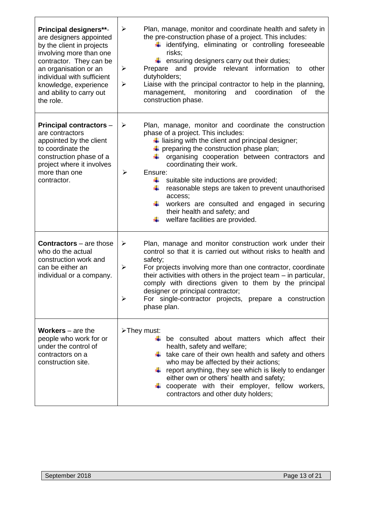| Principal designers**-<br>are designers appointed<br>by the client in projects<br>involving more than one<br>contractor. They can be<br>an organisation or an<br>individual with sufficient<br>knowledge, experience<br>and ability to carry out<br>the role. | $\blacktriangleright$<br>Plan, manage, monitor and coordinate health and safety in<br>the pre-construction phase of a project. This includes:<br>$\ddagger$ identifying, eliminating or controlling foreseeable<br>risks;<br>$\ddot{\bullet}$ ensuring designers carry out their duties;<br>provide relevant information to<br>$\blacktriangleright$<br>Prepare and<br>other<br>dutyholders;<br>Liaise with the principal contractor to help in the planning,<br>≻<br>management, monitoring<br>and<br>coordination<br>οf<br>the<br>construction phase.                                        |
|---------------------------------------------------------------------------------------------------------------------------------------------------------------------------------------------------------------------------------------------------------------|------------------------------------------------------------------------------------------------------------------------------------------------------------------------------------------------------------------------------------------------------------------------------------------------------------------------------------------------------------------------------------------------------------------------------------------------------------------------------------------------------------------------------------------------------------------------------------------------|
| <b>Principal contractors -</b><br>are contractors<br>appointed by the client<br>to coordinate the<br>construction phase of a<br>project where it involves<br>more than one<br>contractor.                                                                     | Plan, manage, monitor and coordinate the construction<br>$\blacktriangleright$<br>phase of a project. This includes:<br>$\ddag$ liaising with the client and principal designer;<br>$\downarrow$ preparing the construction phase plan;<br>organising cooperation between contractors and<br>₩<br>coordinating their work.<br>Ensure:<br>➤<br>suitable site inductions are provided;<br>₩<br>reasonable steps are taken to prevent unauthorised<br>₩<br>access;<br>÷<br>workers are consulted and engaged in securing<br>their health and safety; and<br>welfare facilities are provided.<br>÷ |
| <b>Contractors</b> – are those<br>who do the actual<br>construction work and<br>can be either an<br>individual or a company.                                                                                                                                  | Plan, manage and monitor construction work under their<br>$\blacktriangleright$<br>control so that it is carried out without risks to health and<br>safety;<br>For projects involving more than one contractor, coordinate<br>$\blacktriangleright$<br>their activities with others in the project team $-$ in particular,<br>comply with directions given to them by the principal<br>designer or principal contractor;<br>For single-contractor projects, prepare a construction<br>➤<br>phase plan.                                                                                         |
| <b>Workers</b> $-$ are the<br>people who work for or<br>under the control of<br>contractors on a<br>construction site.                                                                                                                                        | >They must:<br>be consulted about matters which affect their<br>health, safety and welfare;<br>$\ddagger$ take care of their own health and safety and others<br>who may be affected by their actions;<br>report anything, they see which is likely to endanger<br>either own or others' health and safety;<br>+ cooperate with their employer, fellow workers,<br>contractors and other duty holders;                                                                                                                                                                                         |

Г

┓

٦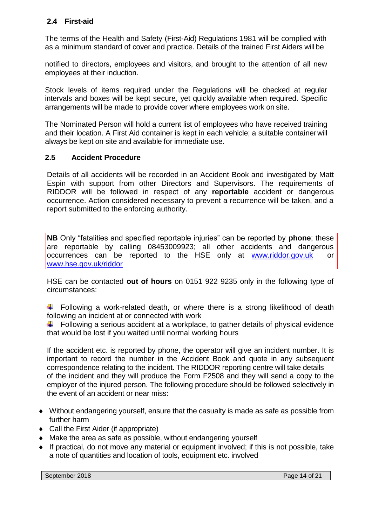# **2.4 First-aid**

The terms of the Health and Safety (First-Aid) Regulations 1981 will be complied with as a minimum standard of cover and practice. Details of the trained First Aiders will be

notified to directors, employees and visitors, and brought to the attention of all new employees at their induction.

Stock levels of items required under the Regulations will be checked at regular intervals and boxes will be kept secure, yet quickly available when required. Specific arrangements will be made to provide cover where employees work on site.

The Nominated Person will hold a current list of employees who have received training and their location. A First Aid container is kept in each vehicle; a suitable containerwill always be kept on site and available for immediate use.

### **2.5 Accident Procedure**

Details of all accidents will be recorded in an Accident Book and investigated by Matt Espin with support from other Directors and Supervisors. The requirements of RIDDOR will be followed in respect of any **reportable** accident or dangerous occurrence. Action considered necessary to prevent a recurrence will be taken, and a report submitted to the enforcing authority.

**NB** Only "fatalities and specified reportable injuries" can be reported by **phone**; these are reportable by calling 08453009923; all other accidents and dangerous occurrences can be reported to the HSE only at [www.riddor.gov.uk](http://www.riddor.gov.uk/) or [www.hse.gov.uk/riddor](http://www.hse.gov.uk/riddor)

HSE can be contacted **out of hours** on 0151 922 9235 only in the following type of circumstances:

Following a work-related death, or where there is a strong likelihood of death following an incident at or connected with work

 $\ddot{\phantom{1}}$  Following a serious accident at a workplace, to gather details of physical evidence that would be lost if you waited until normal working hours

If the accident etc. is reported by phone, the operator will give an incident number. It is important to record the number in the Accident Book and quote in any subsequent correspondence relating to the incident. The RIDDOR reporting centre will take details of the incident and they will produce the Form F2508 and they will send a copy to the employer of the injured person. The following procedure should be followed selectively in the event of an accident or near miss:

- Without endangering yourself, ensure that the casualty is made as safe as possible from further harm
- ◆ Call the First Aider (if appropriate)
- Make the area as safe as possible, without endangering yourself
- If practical, do not move any material or equipment involved; if this is not possible, take a note of quantities and location of tools, equipment etc. involved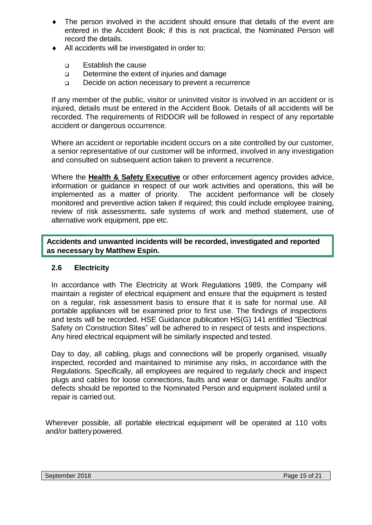- The person involved in the accident should ensure that details of the event are entered in the Accident Book; if this is not practical, the Nominated Person will record the details.
- All accidents will be investigated in order to:
	- ❑ Establish the cause
	- ❑ Determine the extent of injuries and damage
	- ❑ Decide on action necessary to prevent a recurrence

If any member of the public, visitor or uninvited visitor is involved in an accident or is injured, details must be entered in the Accident Book. Details of all accidents will be recorded. The requirements of RIDDOR will be followed in respect of any reportable accident or dangerous occurrence.

Where an accident or reportable incident occurs on a site controlled by our customer, a senior representative of our customer will be informed, involved in any investigation and consulted on subsequent action taken to prevent a recurrence.

Where the **Health & Safety Executive** or other enforcement agency provides advice, information or guidance in respect of our work activities and operations, this will be implemented as a matter of priority. The accident performance will be closely monitored and preventive action taken if required; this could include employee training, review of risk assessments, safe systems of work and method statement, use of alternative work equipment, ppe etc.

**Accidents and unwanted incidents will be recorded, investigated and reported as necessary by Matthew Espin.**

# **2.6 Electricity**

In accordance with The Electricity at Work Regulations 1989, the Company will maintain a register of electrical equipment and ensure that the equipment is tested on a regular, risk assessment basis to ensure that it is safe for normal use. All portable appliances will be examined prior to first use. The findings of inspections and tests will be recorded. HSE Guidance publication HS(G) 141 entitled "Electrical Safety on Construction Sites" will be adhered to in respect of tests and inspections. Any hired electrical equipment will be similarly inspected and tested.

Day to day, all cabling, plugs and connections will be properly organised, visually inspected, recorded and maintained to minimise any risks, in accordance with the Regulations. Specifically, all employees are required to regularly check and inspect plugs and cables for loose connections, faults and wear or damage. Faults and/or defects should be reported to the Nominated Person and equipment isolated until a repair is carried out.

Wherever possible, all portable electrical equipment will be operated at 110 volts and/or batterypowered.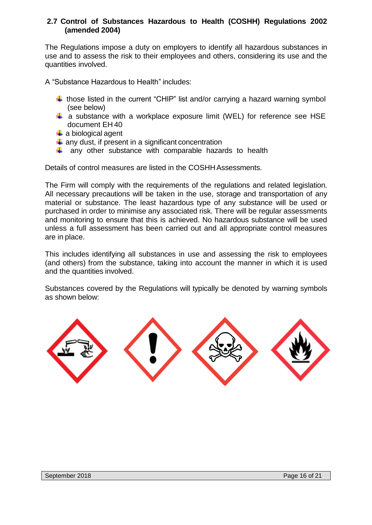### **2.7 Control of Substances Hazardous to Health (COSHH) Regulations 2002 (amended 2004)**

The Regulations impose a duty on employers to identify all hazardous substances in use and to assess the risk to their employees and others, considering its use and the quantities involved.

A "Substance Hazardous to Health" includes:

- $\ddot{+}$  those listed in the current "CHIP" list and/or carrying a hazard warning symbol (see below)
- $\ddot$  a substance with a workplace exposure limit (WEL) for reference see HSE document EH 40
- $\ddot{\bullet}$  a biological agent
- $\ddot$  any dust, if present in a significant concentration
- $\downarrow$  any other substance with comparable hazards to health

Details of control measures are listed in the COSHHAssessments.

The Firm will comply with the requirements of the regulations and related legislation. All necessary precautions will be taken in the use, storage and transportation of any material or substance. The least hazardous type of any substance will be used or purchased in order to minimise any associated risk. There will be regular assessments and monitoring to ensure that this is achieved. No hazardous substance will be used unless a full assessment has been carried out and all appropriate control measures are in place.

This includes identifying all substances in use and assessing the risk to employees (and others) from the substance, taking into account the manner in which it is used and the quantities involved.

Substances covered by the Regulations will typically be denoted by warning symbols as shown below:

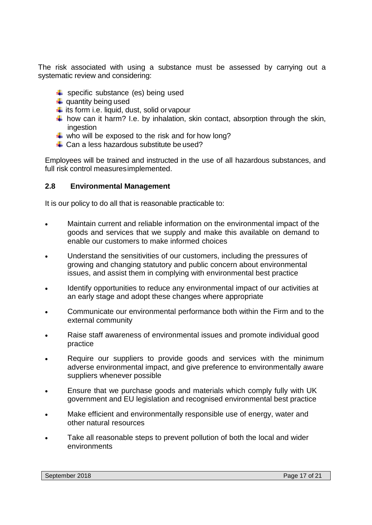The risk associated with using a substance must be assessed by carrying out a systematic review and considering:

- $\bigstar$  specific substance (es) being used
- $\ddot{\phantom{1}}$  quantity being used
- $\frac{1}{\sqrt{2}}$  its form i.e. liquid, dust, solid or vapour
- $\ddot{+}$  how can it harm? I.e. by inhalation, skin contact, absorption through the skin, ingestion
- $\frac{1}{2}$  who will be exposed to the risk and for how long?
- $\downarrow$  Can a less hazardous substitute be used?

Employees will be trained and instructed in the use of all hazardous substances, and full risk control measuresimplemented.

#### **2.8 Environmental Management**

It is our policy to do all that is reasonable practicable to:

- Maintain current and reliable information on the environmental impact of the goods and services that we supply and make this available on demand to enable our customers to make informed choices
- Understand the sensitivities of our customers, including the pressures of growing and changing statutory and public concern about environmental issues, and assist them in complying with environmental best practice
- Identify opportunities to reduce any environmental impact of our activities at an early stage and adopt these changes where appropriate
- Communicate our environmental performance both within the Firm and to the external community
- Raise staff awareness of environmental issues and promote individual good practice
- Require our suppliers to provide goods and services with the minimum adverse environmental impact, and give preference to environmentally aware suppliers whenever possible
- Ensure that we purchase goods and materials which comply fully with UK government and EU legislation and recognised environmental best practice
- Make efficient and environmentally responsible use of energy, water and other natural resources
- Take all reasonable steps to prevent pollution of both the local and wider environments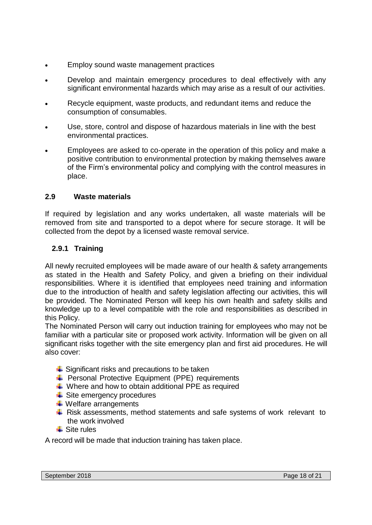- Employ sound waste management practices
- Develop and maintain emergency procedures to deal effectively with any significant environmental hazards which may arise as a result of our activities.
- Recycle equipment, waste products, and redundant items and reduce the consumption of consumables.
- Use, store, control and dispose of hazardous materials in line with the best environmental practices.
- Employees are asked to co-operate in the operation of this policy and make a positive contribution to environmental protection by making themselves aware of the Firm's environmental policy and complying with the control measures in place.

# **2.9 Waste materials**

If required by legislation and any works undertaken, all waste materials will be removed from site and transported to a depot where for secure storage. It will be collected from the depot by a licensed waste removal service.

# **2.9.1 Training**

All newly recruited employees will be made aware of our health & safety arrangements as stated in the Health and Safety Policy, and given a briefing on their individual responsibilities. Where it is identified that employees need training and information due to the introduction of health and safety legislation affecting our activities, this will be provided. The Nominated Person will keep his own health and safety skills and knowledge up to a level compatible with the role and responsibilities as described in this Policy.

The Nominated Person will carry out induction training for employees who may not be familiar with a particular site or proposed work activity. Information will be given on all significant risks together with the site emergency plan and first aid procedures. He will also cover:

- $\div$  Significant risks and precautions to be taken
- **Personal Protective Equipment (PPE) requirements**
- $\downarrow$  Where and how to obtain additional PPE as required
- $\overline{\phantom{a}}$  Site emergency procedures
- $\ddot$  Welfare arrangements
- $\ddot{+}$  Risk assessments, method statements and safe systems of work relevant to the work involved
- $\ddot{\bullet}$  Site rules

A record will be made that induction training has taken place.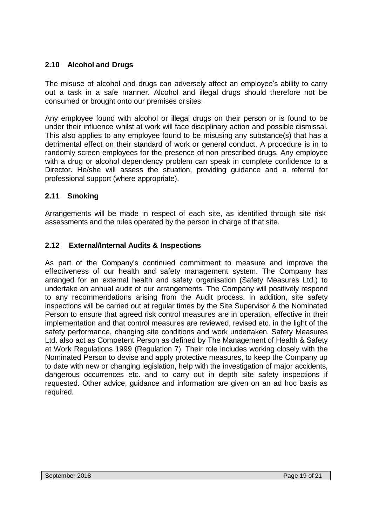# **2.10 Alcohol and Drugs**

The misuse of alcohol and drugs can adversely affect an employee's ability to carry out a task in a safe manner. Alcohol and illegal drugs should therefore not be consumed or brought onto our premises orsites.

Any employee found with alcohol or illegal drugs on their person or is found to be under their influence whilst at work will face disciplinary action and possible dismissal. This also applies to any employee found to be misusing any substance(s) that has a detrimental effect on their standard of work or general conduct. A procedure is in to randomly screen employees for the presence of non prescribed drugs. Any employee with a drug or alcohol dependency problem can speak in complete confidence to a Director. He/she will assess the situation, providing guidance and a referral for professional support (where appropriate).

# **2.11 Smoking**

Arrangements will be made in respect of each site, as identified through site risk assessments and the rules operated by the person in charge of that site.

# **2.12 External/Internal Audits & Inspections**

As part of the Company's continued commitment to measure and improve the effectiveness of our health and safety management system. The Company has arranged for an external health and safety organisation (Safety Measures Ltd.) to undertake an annual audit of our arrangements. The Company will positively respond to any recommendations arising from the Audit process. In addition, site safety inspections will be carried out at regular times by the Site Supervisor & the Nominated Person to ensure that agreed risk control measures are in operation, effective in their implementation and that control measures are reviewed, revised etc. in the light of the safety performance, changing site conditions and work undertaken. Safety Measures Ltd. also act as Competent Person as defined by The Management of Health & Safety at Work Regulations 1999 (Regulation 7). Their role includes working closely with the Nominated Person to devise and apply protective measures, to keep the Company up to date with new or changing legislation, help with the investigation of major accidents, dangerous occurrences etc. and to carry out in depth site safety inspections if requested. Other advice, guidance and information are given on an ad hoc basis as required.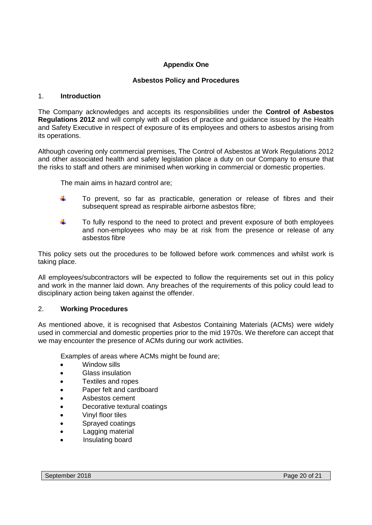#### **Appendix One**

#### **Asbestos Policy and Procedures**

#### 1. **Introduction**

The Company acknowledges and accepts its responsibilities under the **Control of Asbestos Regulations 2012** and will comply with all codes of practice and guidance issued by the Health and Safety Executive in respect of exposure of its employees and others to asbestos arising from its operations.

Although covering only commercial premises, The Control of Asbestos at Work Regulations 2012 and other associated health and safety legislation place a duty on our Company to ensure that the risks to staff and others are minimised when working in commercial or domestic properties.

The main aims in hazard control are;

- ÷ To prevent, so far as practicable, generation or release of fibres and their subsequent spread as respirable airborne asbestos fibre;
- ÷ To fully respond to the need to protect and prevent exposure of both employees and non-employees who may be at risk from the presence or release of any asbestos fibre

This policy sets out the procedures to be followed before work commences and whilst work is taking place.

All employees/subcontractors will be expected to follow the requirements set out in this policy and work in the manner laid down. Any breaches of the requirements of this policy could lead to disciplinary action being taken against the offender.

#### 2. **Working Procedures**

As mentioned above, it is recognised that Asbestos Containing Materials (ACMs) were widely used in commercial and domestic properties prior to the mid 1970s. We therefore can accept that we may encounter the presence of ACMs during our work activities.

Examples of areas where ACMs might be found are;

- Window sills
- Glass insulation
- Textiles and ropes
- Paper felt and cardboard
- Asbestos cement
- Decorative textural coatings
- Vinyl floor tiles
- Sprayed coatings
- Lagging material
- Insulating board